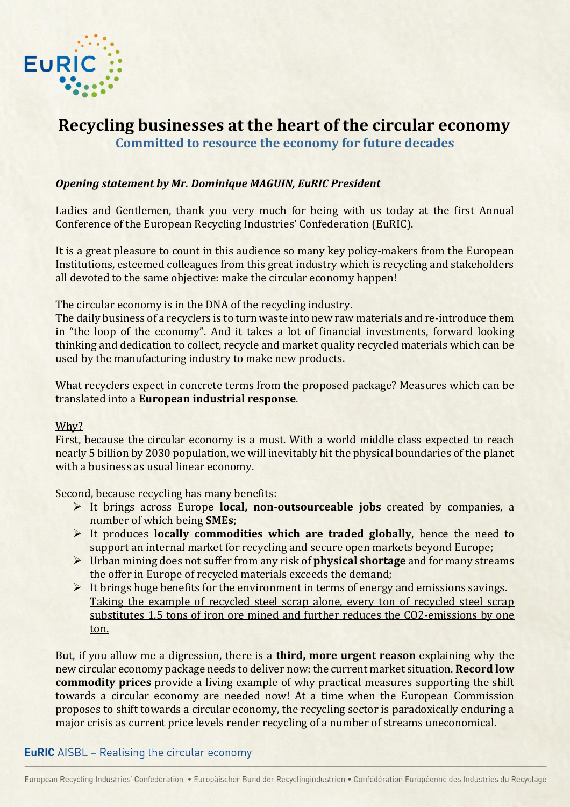

# **Recycling businesses at the heart of the circular economy Committed to resource the economy for future decades**

### *Opening statement by Mr. Dominique MAGUIN, EuRIC President*

Ladies and Gentlemen, thank you very much for being with us today at the first Annual Conference of the European Recycling Industries' Confederation (EuRIC).

It is a great pleasure to count in this audience so many key policy-makers from the European Institutions, esteemed colleagues from this great industry which is recycling and stakeholders all devoted to the same objective: make the circular economy happen!

The circular economy is in the DNA of the recycling industry.

The daily business of a recyclers is to turn waste into new raw materials and re-introduce them in "the loop of the economy". And it takes a lot of financial investments, forward looking thinking and dedication to collect, recycle and market quality recycled materials which can be used by the manufacturing industry to make new products.

What recyclers expect in concrete terms from the proposed package? Measures which can be translated into a **European industrial response**.

#### Why?

First, because the circular economy is a must. With a world middle class expected to reach nearly 5 billion by 2030 population, we will inevitably hit the physical boundaries of the planet with a business as usual linear economy.

Second, because recycling has many benefits:

- It brings across Europe **local, non-outsourceable jobs** created by companies, a number of which being **SMEs**;
- It produces **locally commodities which are traded globally**, hence the need to support an internal market for recycling and secure open markets beyond Europe;
- Urban mining does not suffer from any risk of **physical shortage** and for many streams the offer in Europe of recycled materials exceeds the demand;
- $\triangleright$  It brings huge benefits for the environment in terms of energy and emissions savings. Taking the example of recycled steel scrap alone, every ton of recycled steel scrap substitutes 1.5 tons of iron ore mined and further reduces the CO2-emissions by one ton.

But, if you allow me a digression, there is a **third, more urgent reason** explaining why the new circular economy package needs to deliver now: the current market situation. **Record low commodity prices** provide a living example of why practical measures supporting the shift towards a circular economy are needed now! At a time when the European Commission proposes to shift towards a circular economy, the recycling sector is paradoxically enduring a major crisis as current price levels render recycling of a number of streams uneconomical.

## **EuRIC** AISBL - Realising the circular economy